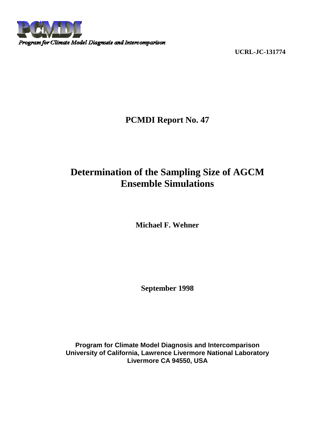

**UCRL-JC-131774**

**PCMDI Report No. 47**

# **Determination of the Sampling Size of AGCM Ensemble Simulations**

**Michael F. Wehner**

**September 1998**

**Program for Climate Model Diagnosis and Intercomparison University of California, Lawrence Livermore National Laboratory Livermore CA 94550, USA**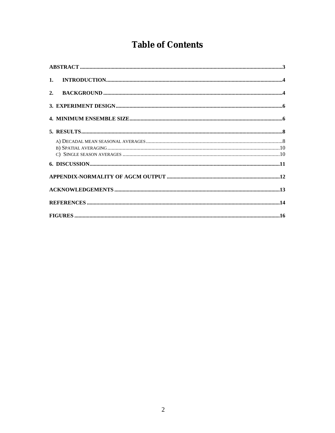# **Table of Contents**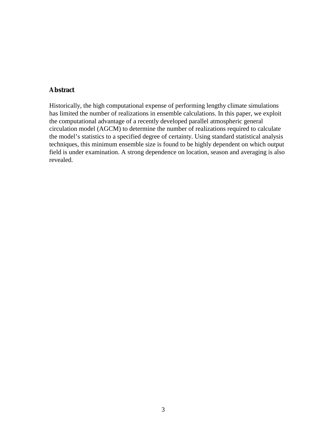## **Abstract**

Historically, the high computational expense of performing lengthy climate simulations has limited the number of realizations in ensemble calculations. In this paper, we exploit the computational advantage of a recently developed parallel atmospheric general circulation model (AGCM) to determine the number of realizations required to calculate the model's statistics to a specified degree of certainty. Using standard statistical analysis techniques, this minimum ensemble size is found to be highly dependent on which output field is under examination. A strong dependence on location, season and averaging is also revealed.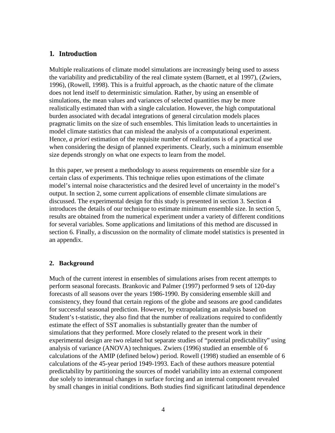## **1. Introduction**

Multiple realizations of climate model simulations are increasingly being used to assess the variability and predictability of the real climate system (Barnett, et al 1997), (Zwiers, 1996), (Rowell, 1998). This is a fruitful approach, as the chaotic nature of the climate does not lend itself to deterministic simulation. Rather, by using an ensemble of simulations, the mean values and variances of selected quantities may be more realistically estimated than with a single calculation. However, the high computational burden associated with decadal integrations of general circulation models places pragmatic limits on the size of such ensembles. This limitation leads to uncertainties in model climate statistics that can mislead the analysis of a computational experiment. Hence, *a priori* estimation of the requisite number of realizations is of a practical use when considering the design of planned experiments. Clearly, such a minimum ensemble size depends strongly on what one expects to learn from the model.

In this paper, we present a methodology to assess requirements on ensemble size for a certain class of experiments. This technique relies upon estimations of the climate model's internal noise characteristics and the desired level of uncertainty in the model's output. In section 2, some current applications of ensemble climate simulations are discussed. The experimental design for this study is presented in section 3. Section 4 introduces the details of our technique to estimate minimum ensemble size. In section 5, results are obtained from the numerical experiment under a variety of different conditions for several variables. Some applications and limitations of this method are discussed in section 6. Finally, a discussion on the normality of climate model statistics is presented in an appendix.

## **2. Background**

Much of the current interest in ensembles of simulations arises from recent attempts to perform seasonal forecasts. Brankovic and Palmer (1997) performed 9 sets of 120-day forecasts of all seasons over the years 1986-1990. By considering ensemble skill and consistency, they found that certain regions of the globe and seasons are good candidates for successful seasonal prediction. However, by extrapolating an analysis based on Student's t-statistic, they also find that the number of realizations required to confidently estimate the effect of SST anomalies is substantially greater than the number of simulations that they performed. More closely related to the present work in their experimental design are two related but separate studies of "potential predictability" using analysis of variance (ANOVA) techniques. Zwiers (1996) studied an ensemble of 6 calculations of the AMIP (defined below) period. Rowell (1998) studied an ensemble of 6 calculations of the 45-year period 1949-1993. Each of these authors measure potential predictability by partitioning the sources of model variability into an external component due solely to interannual changes in surface forcing and an internal component revealed by small changes in initial conditions. Both studies find significant latitudinal dependence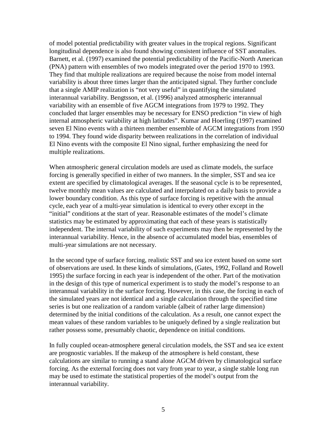of model potential predictability with greater values in the tropical regions. Significant longitudinal dependence is also found showing consistent influence of SST anomalies. Barnett, et al. (1997) examined the potential predictability of the Pacific-North American (PNA) pattern with ensembles of two models integrated over the period 1970 to 1993. They find that multiple realizations are required because the noise from model internal variability is about three times larger than the anticipated signal. They further conclude that a single AMIP realization is "not very useful" in quantifying the simulated interannual variability. Bengtsson, et al. (1996) analyzed atmospheric interannual variability with an ensemble of five AGCM integrations from 1979 to 1992. They concluded that larger ensembles may be necessary for ENSO prediction "in view of high internal atmospheric variability at high latitudes". Kumar and Hoerling (1997) examined seven El Nino events with a thirteen member ensemble of AGCM integrations from 1950 to 1994. They found wide disparity between realizations in the correlation of individual El Nino events with the composite El Nino signal, further emphasizing the need for multiple realizations.

When atmospheric general circulation models are used as climate models, the surface forcing is generally specified in either of two manners. In the simpler, SST and sea ice extent are specified by climatological averages. If the seasonal cycle is to be represented, twelve monthly mean values are calculated and interpolated on a daily basis to provide a lower boundary condition. As this type of surface forcing is repetitive with the annual cycle, each year of a multi-year simulation is identical to every other except in the "initial" conditions at the start of year. Reasonable estimates of the model's climate statistics may be estimated by approximating that each of these years is statistically independent. The internal variability of such experiments may then be represented by the interannual variability. Hence, in the absence of accumulated model bias, ensembles of multi-year simulations are not necessary.

In the second type of surface forcing, realistic SST and sea ice extent based on some sort of observations are used. In these kinds of simulations, (Gates, 1992, Folland and Rowell 1995) the surface forcing in each year is independent of the other. Part of the motivation in the design of this type of numerical experiment is to study the model's response to an interannual variability in the surface forcing. However, in this case, the forcing in each of the simulated years are not identical and a single calculation through the specified time series is but one realization of a random variable (albeit of rather large dimension) determined by the initial conditions of the calculation. As a result, one cannot expect the mean values of these random variables to be uniquely defined by a single realization but rather possess some, presumably chaotic, dependence on initial conditions.

In fully coupled ocean-atmosphere general circulation models, the SST and sea ice extent are prognostic variables. If the makeup of the atmosphere is held constant, these calculations are similar to running a stand alone AGCM driven by climatological surface forcing. As the external forcing does not vary from year to year, a single stable long run may be used to estimate the statistical properties of the model's output from the interannual variability.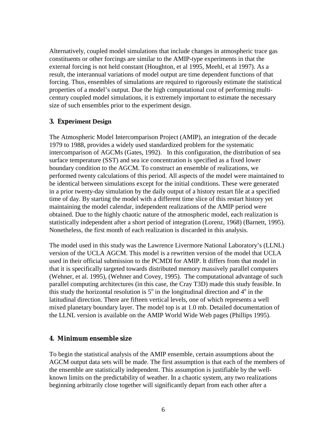Alternatively, coupled model simulations that include changes in atmospheric trace gas constituents or other forcings are similar to the AMIP-type experiments in that the external forcing is not held constant (Houghton, et al 1995, Meehl, et al 1997). As a result, the interannual variations of model output are time dependent functions of that forcing. Thus, ensembles of simulations are required to rigorously estimate the statistical properties of a model's output. Due the high computational cost of performing multicentury coupled model simulations, it is extremely important to estimate the necessary size of such ensembles prior to the experiment design.

## **3. Experiment Design**

The Atmospheric Model Intercomparison Project (AMIP), an integration of the decade 1979 to 1988, provides a widely used standardized problem for the systematic intercomparison of AGCMs (Gates, 1992). In this configuration, the distribution of sea surface temperature (SST) and sea ice concentration is specified as a fixed lower boundary condition to the AGCM. To construct an ensemble of realizations, we performed twenty calculations of this period. All aspects of the model were maintained to be identical between simulations except for the initial conditions. These were generated in a prior twenty-day simulation by the daily output of a history restart file at a specified time of day. By starting the model with a different time slice of this restart history yet maintaining the model calendar, independent realizations of the AMIP period were obtained. Due to the highly chaotic nature of the atmospheric model, each realization is statistically independent after a short period of integration (Lorenz, 1968) (Barnett, 1995). Nonetheless, the first month of each realization is discarded in this analysis.

The model used in this study was the Lawrence Livermore National Laboratory's (LLNL) version of the UCLA AGCM. This model is a rewritten version of the model that UCLA used in their official submission to the PCMDI for AMIP. It differs from that model in that it is specifically targeted towards distributed memory massively parallel computers (Wehner, et al. 1995), (Wehner and Covey, 1995). The computational advantage of such parallel computing architectures (in this case, the Cray T3D) made this study feasible. In this study the horizontal resolution is  $5^\circ$  in the longitudinal direction and  $4^\circ$  in the latitudinal direction. There are fifteen vertical levels, one of which represents a well mixed planetary boundary layer. The model top is at 1.0 mb. Detailed documentation of the LLNL version is available on the AMIP World Wide Web pages (Phillips 1995).

# **4. Minimum ensemble size**

To begin the statistical analysis of the AMIP ensemble, certain assumptions about the AGCM output data sets will be made. The first assumption is that each of the members of the ensemble are statistically independent. This assumption is justifiable by the wellknown limits on the predictability of weather. In a chaotic system, any two realizations beginning arbitrarily close together will significantly depart from each other after a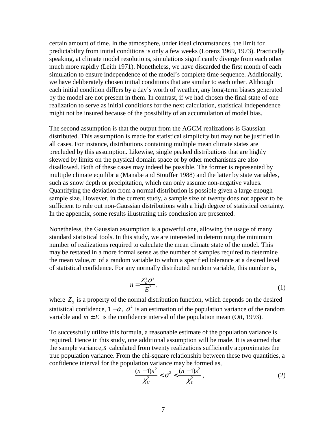certain amount of time. In the atmosphere, under ideal circumstances, the limit for predictability from initial conditions is only a few weeks (Lorenz 1969, 1973). Practically speaking, at climate model resolutions, simulations significantly diverge from each other much more rapidly (Leith 1971). Nonetheless, we have discarded the first month of each simulation to ensure independence of the model's complete time sequence. Additionally, we have deliberately chosen initial conditions that are similar to each other. Although each initial condition differs by a day's worth of weather, any long-term biases generated by the model are not present in them. In contrast, if we had chosen the final state of one realization to serve as initial conditions for the next calculation, statistical independence might not be insured because of the possibility of an accumulation of model bias.

The second assumption is that the output from the AGCM realizations is Gaussian distributed. This assumption is made for statistical simplicity but may not be justified in all cases. For instance, distributions containing multiple mean climate states are precluded by this assumption. Likewise, single peaked distributions that are highly skewed by limits on the physical domain space or by other mechanisms are also disallowed. Both of these cases may indeed be possible. The former is represented by multiple climate equilibria (Manabe and Stouffer 1988) and the latter by state variables, such as snow depth or precipitation, which can only assume non-negative values. Quantifying the deviation from a normal distribution is possible given a large enough sample size. However, in the current study, a sample size of twenty does not appear to be sufficient to rule out non-Gaussian distributions with a high degree of statistical certainty. In the appendix, some results illustrating this conclusion are presented.

Nonetheless, the Gaussian assumption is a powerful one, allowing the usage of many standard statistical tools. In this study, we are interested in determining the minimum number of realizations required to calculate the mean climate state of the model. This may be restated in a more formal sense as the number of samples required to determine the mean value,*m* of a random variable to within a specified tolerance at a desired level of statistical confidence. For any normally distributed random variable, this number is,

$$
n = \frac{Z_{\alpha}^2 \sigma^2}{E^2} \tag{1}
$$

where  $Z_\alpha$  is a property of the normal distribution function, which depends on the desired statistical confidence,  $1 - \alpha$ ,  $\sigma^2$  is an estimation of the population variance of the random variable and  $m \pm E$  is the confidence interval of the population mean (Ott, 1993).

To successfully utilize this formula, a reasonable estimate of the population variance is required. Hence in this study, one additional assumption will be made. It is assumed that the sample variance,*s* calculated from twenty realizations sufficiently approximates the true population variance. From the chi-square relationship between these two quantities, a confidence interval for the population variance may be formed as,

$$
\frac{(n-1)s^2}{\chi_U^2} < \sigma^2 < \frac{(n-1)s^2}{\chi_L^2},\tag{2}
$$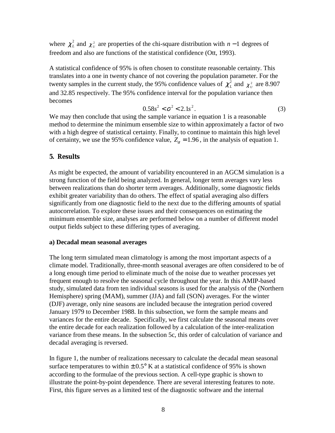where  $\chi^2_L$  and  $\chi^2_U$  are properties of the chi-square distribution with *n* −1 degrees of freedom and also are functions of the statistical confidence (Ott, 1993).

A statistical confidence of 95% is often chosen to constitute reasonable certainty. This translates into a one in twenty chance of not covering the population parameter. For the twenty samples in the current study, the 95% confidence values of  $\chi^2_L$  and  $\chi^2_U$  are 8.907 and 32.85 respectively. The 95% confidence interval for the population variance then becomes

$$
0.58s^2 < \sigma^2 < 2.1s^2. \tag{3}
$$

We may then conclude that using the sample variance in equation 1 is a reasonable method to determine the minimum ensemble size to within approximately a factor of two with a high degree of statistical certainty. Finally, to continue to maintain this high level of certainty, we use the 95% confidence value,  $Z_\alpha = 1.96$ , in the analysis of equation 1.

## **5. Results**

As might be expected, the amount of variability encountered in an AGCM simulation is a strong function of the field being analyzed. In general, longer term averages vary less between realizations than do shorter term averages. Additionally, some diagnostic fields exhibit greater variability than do others. The effect of spatial averaging also differs significantly from one diagnostic field to the next due to the differing amounts of spatial autocorrelation. To explore these issues and their consequences on estimating the minimum ensemble size, analyses are performed below on a number of different model output fields subject to these differing types of averaging.

#### **a) Decadal mean seasonal averages**

The long term simulated mean climatology is among the most important aspects of a climate model. Traditionally, three-month seasonal averages are often considered to be of a long enough time period to eliminate much of the noise due to weather processes yet frequent enough to resolve the seasonal cycle throughout the year. In this AMIP-based study, simulated data from ten individual seasons is used for the analysis of the (Northern Hemisphere) spring (MAM), summer (JJA) and fall (SON) averages. For the winter (DJF) average, only nine seasons are included because the integration period covered January 1979 to December 1988. In this subsection, we form the sample means and variances for the entire decade. Specifically, we first calculate the seasonal means over the entire decade for each realization followed by a calculation of the inter-realization variance from these means. In the subsection 5c, this order of calculation of variance and decadal averaging is reversed.

In figure 1, the number of realizations necessary to calculate the decadal mean seasonal surface temperatures to within  $\pm$  0.5° K at a statistical confidence of 95% is shown according to the formulae of the previous section. A cell-type graphic is shown to illustrate the point-by-point dependence. There are several interesting features to note. First, this figure serves as a limited test of the diagnostic software and the internal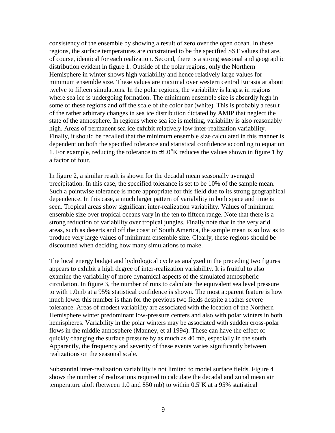consistency of the ensemble by showing a result of zero over the open ocean. In these regions, the surface temperatures are constrained to be the specified SST values that are, of course, identical for each realization. Second, there is a strong seasonal and geographic distribution evident in figure 1. Outside of the polar regions, only the Northern Hemisphere in winter shows high variability and hence relatively large values for minimum ensemble size. These values are maximal over western central Eurasia at about twelve to fifteen simulations. In the polar regions, the variability is largest in regions where sea ice is undergoing formation. The minimum ensemble size is absurdly high in some of these regions and off the scale of the color bar (white). This is probably a result of the rather arbitrary changes in sea ice distribution dictated by AMIP that neglect the state of the atmosphere. In regions where sea ice is melting, variability is also reasonably high. Areas of permanent sea ice exhibit relatively low inter-realization variability. Finally, it should be recalled that the minimum ensemble size calculated in this manner is dependent on both the specified tolerance and statistical confidence according to equation 1. For example, reducing the tolerance to  $\pm 1.0^{\circ}$ K reduces the values shown in figure 1 by a factor of four.

In figure 2, a similar result is shown for the decadal mean seasonally averaged precipitation. In this case, the specified tolerance is set to be 10% of the sample mean. Such a pointwise tolerance is more appropriate for this field due to its strong geographical dependence. In this case, a much larger pattern of variability in both space and time is seen. Tropical areas show significant inter-realization variability. Values of minimum ensemble size over tropical oceans vary in the ten to fifteen range. Note that there is a strong reduction of variability over tropical jungles. Finally note that in the very arid areas, such as deserts and off the coast of South America, the sample mean is so low as to produce very large values of minimum ensemble size. Clearly, these regions should be discounted when deciding how many simulations to make.

The local energy budget and hydrological cycle as analyzed in the preceding two figures appears to exhibit a high degree of inter-realization variability. It is fruitful to also examine the variability of more dynamical aspects of the simulated atmospheric circulation. In figure 3, the number of runs to calculate the equivalent sea level pressure to with 1.0mb at a 95% statistical confidence is shown. The most apparent feature is how much lower this number is than for the previous two fields despite a rather severe tolerance. Areas of modest variability are associated with the location of the Northern Hemisphere winter predominant low-pressure centers and also with polar winters in both hemispheres. Variability in the polar winters may be associated with sudden cross-polar flows in the middle atmosphere (Manney, et al 1994). These can have the effect of quickly changing the surface pressure by as much as 40 mb, especially in the south. Apparently, the frequency and severity of these events varies significantly between realizations on the seasonal scale.

Substantial inter-realization variability is not limited to model surface fields. Figure 4 shows the number of realizations required to calculate the decadal and zonal mean air temperature aloft (between 1.0 and  $850$  mb) to within  $0.5^{\circ}$ K at a 95% statistical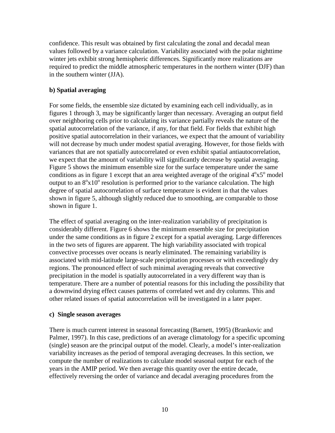confidence. This result was obtained by first calculating the zonal and decadal mean values followed by a variance calculation. Variability associated with the polar nighttime winter jets exhibit strong hemispheric differences. Significantly more realizations are required to predict the middle atmospheric temperatures in the northern winter (DJF) than in the southern winter (JJA).

# **b) Spatial averaging**

For some fields, the ensemble size dictated by examining each cell individually, as in figures 1 through 3, may be significantly larger than necessary. Averaging an output field over neighboring cells prior to calculating its variance partially reveals the nature of the spatial autocorrelation of the variance, if any, for that field. For fields that exhibit high positive spatial autocorrelation in their variances, we expect that the amount of variability will not decrease by much under modest spatial averaging. However, for those fields with variances that are not spatially autocorrelated or even exhibit spatial antiautocorrelation, we expect that the amount of variability will significantly decrease by spatial averaging. Figure 5 shows the minimum ensemble size for the surface temperature under the same conditions as in figure 1 except that an area weighted average of the original  $4^{\circ}x5^{\circ}$  model output to an  $8^{\circ}x10^{\circ}$  resolution is performed prior to the variance calculation. The high degree of spatial autocorrelation of surface temperature is evident in that the values shown in figure 5, although slightly reduced due to smoothing, are comparable to those shown in figure 1.

The effect of spatial averaging on the inter-realization variability of precipitation is considerably different. Figure 6 shows the minimum ensemble size for precipitation under the same conditions as in figure 2 except for a spatial averaging. Large differences in the two sets of figures are apparent. The high variability associated with tropical convective processes over oceans is nearly eliminated. The remaining variability is associated with mid-latitude large-scale precipitation processes or with exceedingly dry regions. The pronounced effect of such minimal averaging reveals that convective precipitation in the model is spatially autocorrelated in a very different way than is temperature. There are a number of potential reasons for this including the possibility that a downwind drying effect causes patterns of correlated wet and dry columns. This and other related issues of spatial autocorrelation will be investigated in a later paper.

# **c) Single season averages**

There is much current interest in seasonal forecasting (Barnett, 1995) (Brankovic and Palmer, 1997). In this case, predictions of an average climatology for a specific upcoming (single) season are the principal output of the model. Clearly, a model's inter-realization variability increases as the period of temporal averaging decreases. In this section, we compute the number of realizations to calculate model seasonal output for each of the years in the AMIP period. We then average this quantity over the entire decade, effectively reversing the order of variance and decadal averaging procedures from the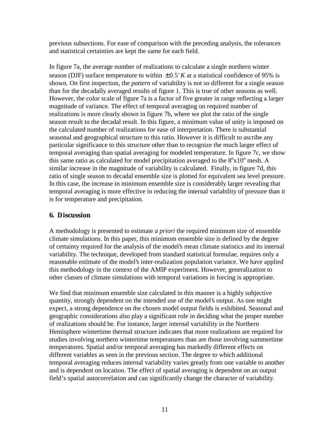previous subsections. For ease of comparison with the preceding analysis, the tolerances and statistical certainties are kept the same for each field.

In figure 7a, the average number of realizations to calculate a single northern winter season (DJF) surface temperature to within  $\pm 0.5^\circ K$  at a statistical confidence of 95% is shown. On first inspection, the *pattern* of variability is not so different for a single season than for the decadally averaged results of figure 1. This is true of other seasons as well. However, the color scale of figure 7a is a factor of five greater in range reflecting a larger magnitude of variance. The effect of temporal averaging on required number of realizations is more clearly shown in figure 7b, where we plot the ratio of the single season result to the decadal result. In this figure, a minimum value of unity is imposed on the calculated number of realizations for ease of interpretation. There is substantial seasonal and geographical structure to this ratio. However it is difficult to ascribe any particular significance to this structure other than to recognize the much larger effect of temporal averaging than spatial averaging for modeled temperature. In figure 7c, we show this same ratio as calculated for model precipitation averaged to the  $8^{\circ}x10^{\circ}$  mesh. A similar increase in the magnitude of variability is calculated. Finally, in figure 7d, this ratio of single season to decadal ensemble size is plotted for equivalent sea level pressure. In this case, the increase in minimum ensemble size is considerably larger revealing that temporal averaging is more effective in reducing the internal variability of pressure than it is for temperature and precipitation.

# **6. Discussion**

A methodology is presented to estimate *a priori* the required minimum size of ensemble climate simulations. In this paper, this minimum ensemble size is defined by the degree of certainty required for the analysis of the model's mean climate statistics and its internal variability. The technique, developed from standard statistical formulae, requires only a reasonable estimate of the model's inter-realization population variance. We have applied this methodology in the context of the AMIP experiment. However, generalization to other classes of climate simulations with temporal variations in forcing is appropriate.

We find that minimum ensemble size calculated in this manner is a highly subjective quantity, strongly dependent on the intended use of the model's output. As one might expect, a strong dependence on the chosen model output fields is exhibited. Seasonal and geographic considerations also play a significant role in deciding what the proper number of realizations should be. For instance, larger internal variability in the Northern Hemisphere wintertime thermal structure indicates that more realizations are required for studies involving northern wintertime temperatures than are those involving summertime temperatures. Spatial and/or temporal averaging has markedly different effects on different variables as seen in the previous section. The degree to which additional temporal averaging reduces internal variability varies greatly from one variable to another and is dependent on location. The effect of spatial averaging is dependent on an output field's spatial autocorrelation and can significantly change the character of variability.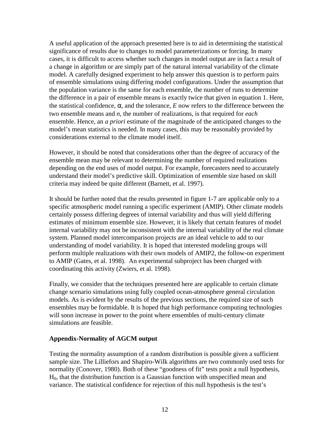A useful application of the approach presented here is to aid in determining the statistical significance of results due to changes to model parameterizations or forcing. In many cases, it is difficult to access whether such changes in model output are in fact a result of a change in algorithm or are simply part of the natural internal variability of the climate model. A carefully designed experiment to help answer this question is to perform pairs of ensemble simulations using differing model configurations. Under the assumption that the population variance is the same for each ensemble, the number of runs to determine the difference in a pair of ensemble means is exactly twice that given in equation 1. Here, the statistical confidence, α, and the tolerance, *E* now refers to the difference between the two ensemble means and *n*, the number of realizations, is that required for *each* ensemble. Hence, an *a priori* estimate of the magnitude of the anticipated changes to the model's mean statistics is needed. In many cases, this may be reasonably provided by considerations external to the climate model itself.

However, it should be noted that considerations other than the degree of accuracy of the ensemble mean may be relevant to determining the number of required realizations depending on the end uses of model output. For example, forecasters need to accurately understand their model's predictive skill. Optimization of ensemble size based on skill criteria may indeed be quite different (Barnett, et al. 1997).

It should be further noted that the results presented in figure 1-7 are applicable only to a specific atmospheric model running a specific experiment (AMIP). Other climate models certainly possess differing degrees of internal variability and thus will yield differing estimates of minimum ensemble size. However, it is likely that certain features of model internal variability may not be inconsistent with the internal variability of the real climate system. Planned model intercomparison projects are an ideal vehicle to add to our understanding of model variability. It is hoped that interested modeling groups will perform multiple realizations with their own models of AMIP2, the follow-on experiment to AMIP (Gates, et al. 1998). An experimental subproject has been charged with coordinating this activity (Zwiers, et al. 1998).

Finally, we consider that the techniques presented here are applicable to certain climate change scenario simulations using fully coupled ocean-atmosphere general circulation models. As is evident by the results of the previous sections, the required size of such ensembles may be formidable. It is hoped that high performance computing technologies will soon increase in power to the point where ensembles of multi-century climate simulations are feasible.

## **Appendix-Normality of AGCM output**

Testing the normality assumption of a random distribution is possible given a sufficient sample size. The Lilliefors and Shapiro-Wilk algorithms are two commonly used tests for normality (Conover, 1980). Both of these "goodness of fit" tests posit a null hypothesis, H0, that the distribution function is a Gaussian function with unspecified mean and variance. The statistical confidence for rejection of this null hypothesis is the test's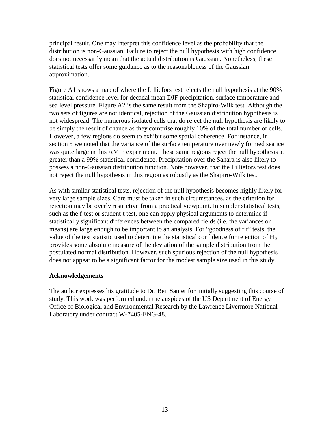principal result. One may interpret this confidence level as the probability that the distribution is non-Gaussian. Failure to reject the null hypothesis with high confidence does not necessarily mean that the actual distribution is Gaussian. Nonetheless, these statistical tests offer some guidance as to the reasonableness of the Gaussian approximation.

Figure A1 shows a map of where the Lilliefors test rejects the null hypothesis at the 90% statistical confidence level for decadal mean DJF precipitation, surface temperature and sea level pressure. Figure A2 is the same result from the Shapiro-Wilk test. Although the two sets of figures are not identical, rejection of the Gaussian distribution hypothesis is not widespread. The numerous isolated cells that do reject the null hypothesis are likely to be simply the result of chance as they comprise roughly 10% of the total number of cells. However, a few regions do seem to exhibit some spatial coherence. For instance, in section 5 we noted that the variance of the surface temperature over newly formed sea ice was quite large in this AMIP experiment. These same regions reject the null hypothesis at greater than a 99% statistical confidence. Precipitation over the Sahara is also likely to possess a non-Gaussian distribution function. Note however, that the Lilliefors test does not reject the null hypothesis in this region as robustly as the Shapiro-Wilk test.

As with similar statistical tests, rejection of the null hypothesis becomes highly likely for very large sample sizes. Care must be taken in such circumstances, as the criterion for rejection may be overly restrictive from a practical viewpoint. In simpler statistical tests, such as the f-test or student-t test, one can apply physical arguments to determine if statistically significant differences between the compared fields (i.e. the variances or means) are large enough to be important to an analysis. For "goodness of fit" tests, the value of the test statistic used to determine the statistical confidence for rejection of  $H_0$ provides some absolute measure of the deviation of the sample distribution from the postulated normal distribution. However, such spurious rejection of the null hypothesis does not appear to be a significant factor for the modest sample size used in this study.

## **Acknowledgements**

The author expresses his gratitude to Dr. Ben Santer for initially suggesting this course of study. This work was performed under the auspices of the US Department of Energy Office of Biological and Environmental Research by the Lawrence Livermore National Laboratory under contract W-7405-ENG-48.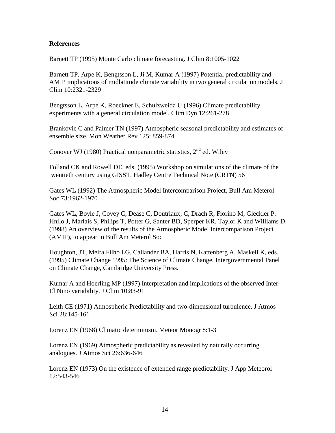## **References**

Barnett TP (1995) Monte Carlo climate forecasting. J Clim 8:1005-1022

Barnett TP, Arpe K, Bengtsson L, Ji M, Kumar A (1997) Potential predictability and AMIP implications of midlatitude climate variability in two general circulation models. J Clim 10:2321-2329

Bengtsson L, Arpe K, Roeckner E, Schulzweida U (1996) Climate predictability experiments with a general circulation model. Clim Dyn 12:261-278

Brankovic C and Palmer TN (1997) Atmospheric seasonal predictability and estimates of ensemble size. Mon Weather Rev 125: 859-874.

Conover WJ (1980) Practical nonparametric statistics,  $2<sup>nd</sup>$  ed. Wiley

Folland CK and Rowell DE, eds. (1995) Workshop on simulations of the climate of the twentieth century using GISST. Hadley Centre Technical Note (CRTN) 56

Gates WL (1992) The Atmospheric Model Intercomparison Project*,* Bull Am Meterol Soc 73:1962-1970

Gates WL, Boyle J, Covey C, Dease C, Doutriaux, C, Drach R, Fiorino M, Gleckler P, Hnilo J, Marlais S, Philips T, Potter G, Santer BD, Sperper KR, Taylor K and Williams D (1998) An overview of the results of the Atmospheric Model Intercomparison Project (AMIP), to appear in Bull Am Meterol Soc

Houghton, JT, Meira Filho LG, Callander BA, Harris N, Kattenberg A, Maskell K, eds. (1995) Climate Change 1995: The Science of Climate Change, Intergovernmental Panel on Climate Change, Cambridge University Press.

Kumar A and Hoerling MP (1997) Interpretation and implications of the observed Inter-El Nino variability. J Clim 10:83-91

Leith CE (1971) Atmospheric Predictability and two-dimensional turbulence. J Atmos Sci 28:145-161

Lorenz EN (1968) Climatic determinism. Meteor Monogr 8:1-3

Lorenz EN (1969) Atmospheric predictability as revealed by naturally occurring analogues. J Atmos Sci 26:636-646

Lorenz EN (1973) On the existence of extended range predictability. J App Meteorol 12:543-546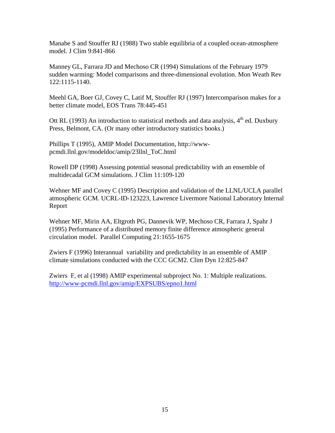Manabe S and Stouffer RJ (1988) Two stable equilibria of a coupled ocean-atmosphere model. J Clim 9:841-866

Manney GL, Farrara JD and Mechoso CR (1994) Simulations of the February 1979 sudden warming: Model comparisons and three-dimensional evolution. Mon Weath Rev 122:1115-1140.

Meehl GA, Boer GJ, Covey C, Latif M, Stouffer RJ (1997) Intercomparison makes for a better climate model, EOS Trans 78:445-451

Ott RL (1993) An introduction to statistical methods and data analysis,  $4<sup>th</sup>$  ed. Duxbury Press, Belmont, CA. (Or many other introductory statistics books.)

Phillips T (1995), AMIP Model Documentation, http://wwwpcmdi.llnl.gov/modeldoc/amip/23llnl\_ToC.html

Rowell DP (1998) Assessing potential seasonal predictability with an ensemble of multidecadal GCM simulations. J Clim 11:109-120

Wehner MF and Covey C (1995) Description and validation of the LLNL/UCLA parallel atmospheric GCM. UCRL-ID-123223, Lawrence Livermore National Laboratory Internal Report

Wehner MF, Mirin AA, Eltgroth PG, Dannevik WP, Mechoso CR, Farrara J, Spahr J (1995) Performance of a distributed memory finite difference atmospheric general circulation model. Parallel Computing 21:1655-1675

Zwiers F (1996) Interannual variability and predictability in an ensemble of AMIP climate simulations conducted with the CCC GCM2. Clim Dyn 12:825-847

Zwiers F, et al (1998) AMIP experimental subproject No. 1: Multiple realizations. http://www-pcmdi.llnl.gov/amip/EXPSUBS/epno1.html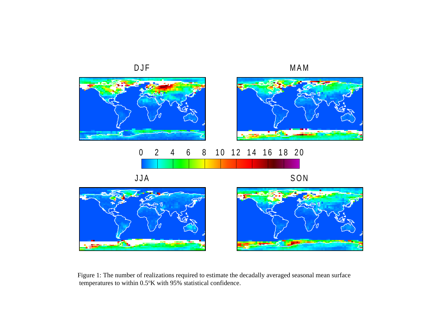

Figure 1: The number of realizations required to estimate the decadally averaged seasonal mean surface temperatures to within 0.5°K with 95% statistical confidence.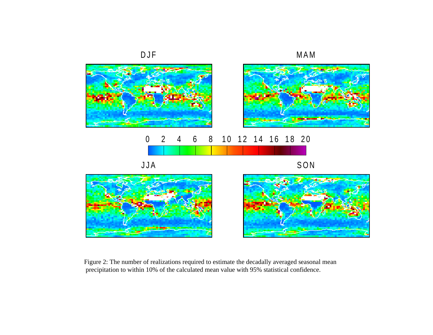

Figure 2: The number of realizations required to estimate the decadally averaged seasonal mean precipitation to within 10% of the calculated mean value with 95% statistical confidence.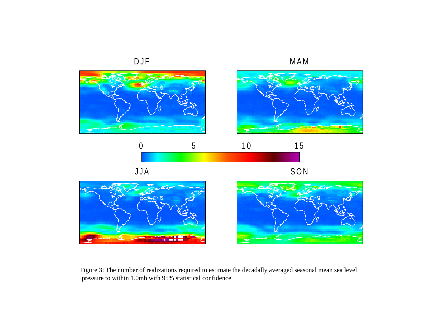

Figure 3: The number of realizations required to estimate the decadally averaged seasonal mean sea level pressure to within 1.0mb with 95% statistical confidence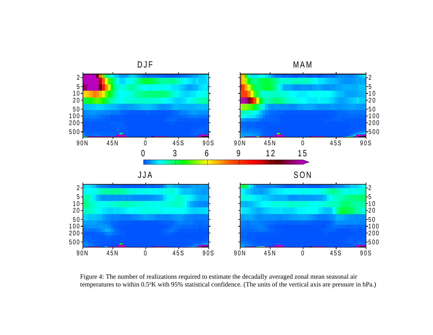

Figure 4: The number of realizations required to estimate the decadally averaged zonal mean seasonal air temperatures to within 0.5°K with 95% statistical confidence. (The units of the vertical axis are pressure in hPa.)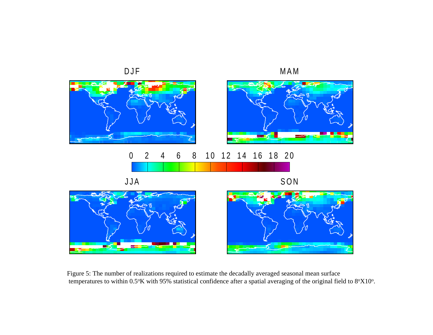

Figure 5: The number of realizations required to estimate the decadally averaged seasonal mean surface temperatures to within  $0.5^{\circ}K$  with 95% statistical confidence after a spatial averaging of the original field to  $8^{\circ}X10^{\circ}$ .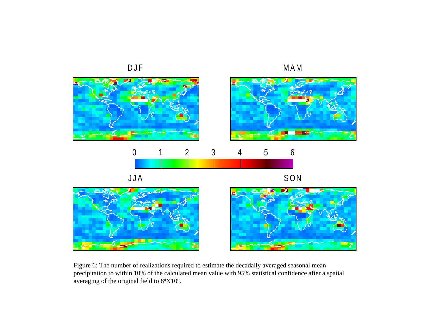

Figure 6: The number of realizations required to estimate the decadally averaged seasonal mean precipitation to within 10% of the calculated mean value with 95% statistical confidence after a spatial averaging of the original field to  $8^{\circ}X10^{\circ}$ .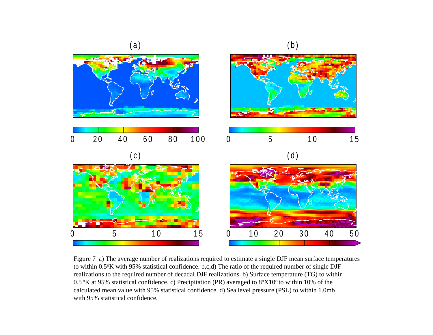

Figure 7 a) The average number of realizations required to estimate a single DJF mean surface temperatures to within 0.5oK with 95% statistical confidence. b,c,d) The ratio of the required number of single DJF realizations to the required number of decadal DJF realizations. b) Surface temperature (TG) to within 0.5  $K$  at 95% statistical confidence. c) Precipitation (PR) averaged to  $8\degree X10\degree$  to within 10% of the calculated mean value with 95% statistical confidence. d) Sea level pressure (PSL) to within 1.0mb with 95% statistical confidence.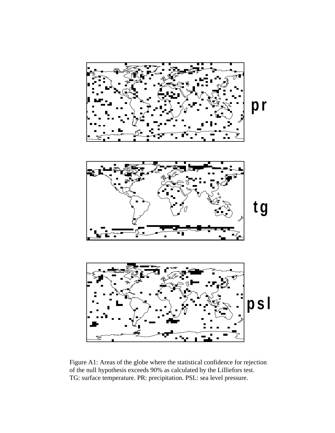

Figure A1: Areas of the globe where the statistical confidence for rejection of the null hypothesis exceeds 90% as calculated by the Lilliefors test. TG: surface temperature. PR: precipitation. PSL: sea level pressure.